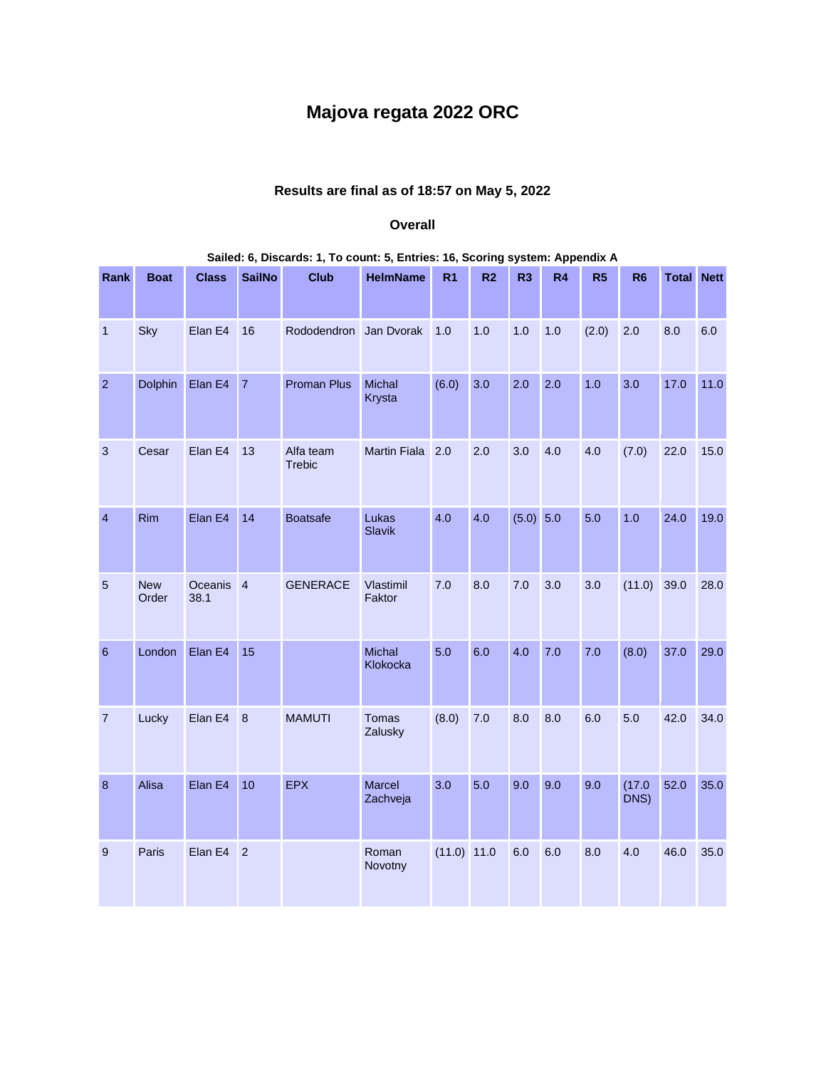## **Majova regata 2022 ORC**

## **Results are final as of 18:57 on May 5, 2022**

## **Overall**

|                  | Salied: 6, Discards: 1, To count: 5, Entries: 16, Scoring system: Appendix A |                              |                |                            |                           |                |                |                |                |       |                |                   |      |
|------------------|------------------------------------------------------------------------------|------------------------------|----------------|----------------------------|---------------------------|----------------|----------------|----------------|----------------|-------|----------------|-------------------|------|
| Rank             | <b>Boat</b>                                                                  | <b>Class</b>                 | <b>SailNo</b>  | <b>Club</b>                | <b>HelmName</b>           | R <sub>1</sub> | R <sub>2</sub> | R <sub>3</sub> | R <sub>4</sub> | R5    | <b>R6</b>      | <b>Total Nett</b> |      |
| $\mathbf{1}$     | Sky                                                                          | Elan E4                      | 16             | Rododendron Jan Dvorak     |                           | 1.0            | 1.0            | 1.0            | 1.0            | (2.0) | 2.0            | 8.0               | 6.0  |
| $\overline{2}$   | <b>Dolphin</b>                                                               | Elan E4                      | $\overline{7}$ | <b>Proman Plus</b>         | Michal<br>Krysta          | (6.0)          | 3.0            | 2.0            | 2.0            | 1.0   | 3.0            | 17.0              | 11.0 |
| $\mathbf{3}$     | Cesar                                                                        | Elan E4                      | 13             | Alfa team<br><b>Trebic</b> | <b>Martin Fiala</b>       | 2.0            | 2.0            | 3.0            | 4.0            | 4.0   | (7.0)          | 22.0              | 15.0 |
| $\overline{4}$   | Rim                                                                          | Elan E4                      | 14             | <b>Boatsafe</b>            | Lukas<br><b>Slavik</b>    | 4.0            | 4.0            | (5.0) 5.0      |                | 5.0   | 1.0            | 24.0              | 19.0 |
| 5                | <b>New</b><br>Order                                                          | Oceanis <sub>4</sub><br>38.1 |                | <b>GENERACE</b>            | Vlastimil<br>Faktor       | 7.0            | 8.0            | 7.0            | 3.0            | 3.0   | (11.0)         | 39.0              | 28.0 |
| $6\phantom{1}6$  | London                                                                       | Elan E4                      | 15             |                            | <b>Michal</b><br>Klokocka | 5.0            | 6.0            | 4.0            | 7.0            | 7.0   | (8.0)          | 37.0              | 29.0 |
| $\overline{7}$   | Lucky                                                                        | Elan E4                      | 8              | <b>MAMUTI</b>              | Tomas<br>Zalusky          | (8.0)          | 7.0            | 8.0            | 8.0            | 6.0   | 5.0            | 42.0              | 34.0 |
| $\boldsymbol{8}$ | Alisa                                                                        | Elan E4                      | 10             | <b>EPX</b>                 | Marcel<br>Zachveja        | 3.0            | 5.0            | 9.0            | 9.0            | 9.0   | (17.0)<br>DNS) | 52.0              | 35.0 |
| $\overline{9}$   | Paris                                                                        | Elan E4 2                    |                |                            | Roman<br>Novotny          | (11.0) 11.0    |                | 6.0            | 6.0            | 8.0   | 4.0            | 46.0              | 35.0 |

## **Sailed: 6, Discards: 1, To count: 5, Entries: 16, Scoring system: Appendix A**